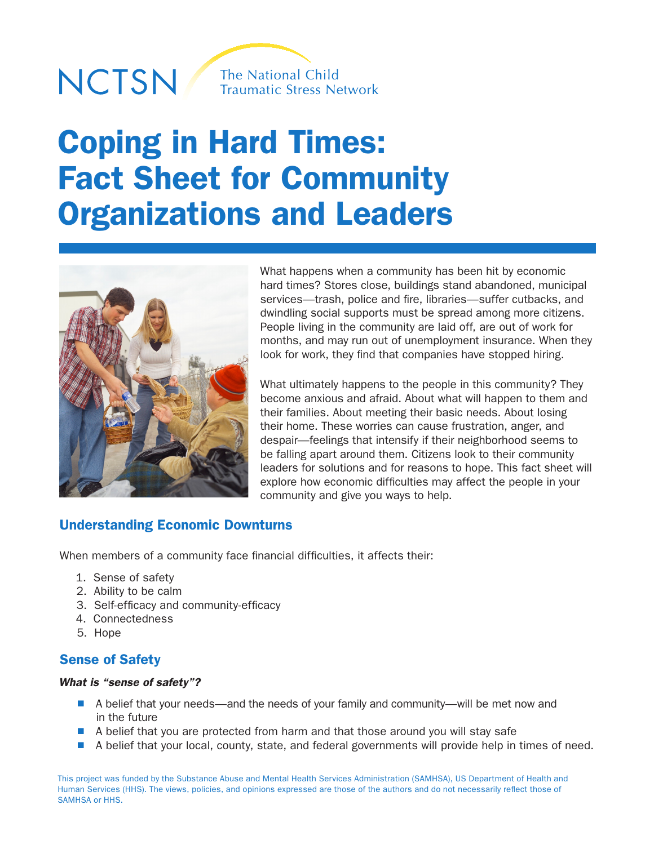# NCTSN/



# Coping in Hard Times: Fact Sheet for Community Organizations and Leaders



What happens when a community has been hit by economic hard times? Stores close, buildings stand abandoned, municipal services—trash, police and fire, libraries—suffer cutbacks, and dwindling social supports must be spread among more citizens. People living in the community are laid off, are out of work for months, and may run out of unemployment insurance. When they look for work, they find that companies have stopped hiring.

What ultimately happens to the people in this community? They become anxious and afraid. About what will happen to them and their families. About meeting their basic needs. About losing their home. These worries can cause frustration, anger, and despair—feelings that intensify if their neighborhood seems to be falling apart around them. Citizens look to their community leaders for solutions and for reasons to hope. This fact sheet will explore how economic difficulties may affect the people in your community and give you ways to help.

## Understanding Economic Downturns

When members of a community face financial difficulties, it affects their:

- 1. Sense of safety
- 2. Ability to be calm
- 3. Self-efficacy and community-efficacy
- 4. Connectedness
- 5. Hope

# Sense of Safety

#### *What is "sense of safety"?*

- A belief that your needs—and the needs of your family and community—will be met now and in the future
- $\blacksquare$  A belief that you are protected from harm and that those around you will stay safe
- A belief that your local, county, state, and federal governments will provide help in times of need.

This project was funded by the Substance Abuse and Mental Health Services Administration (SAMHSA), US Department of Health and Human Services (HHS). The views, policies, and opinions expressed are those of the authors and do not necessarily reflect those of SAMHSA or HHS.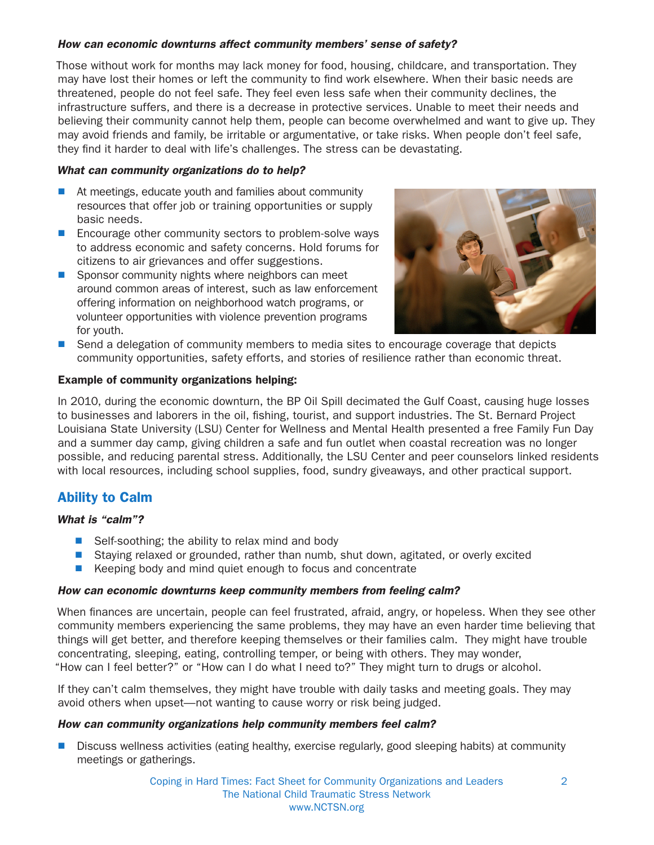#### *How can economic downturns affect community members' sense of safety?*

Those without work for months may lack money for food, housing, childcare, and transportation. They may have lost their homes or left the community to find work elsewhere. When their basic needs are threatened, people do not feel safe. They feel even less safe when their community declines, the infrastructure suffers, and there is a decrease in protective services. Unable to meet their needs and believing their community cannot help them, people can become overwhelmed and want to give up. They may avoid friends and family, be irritable or argumentative, or take risks. When people don't feel safe, they find it harder to deal with life's challenges. The stress can be devastating.

#### *What can community organizations do to help?*

- $\blacksquare$  At meetings, educate youth and families about community resources that offer job or training opportunities or supply basic needs.
- **Encourage other community sectors to problem-solve ways** to address economic and safety concerns. Hold forums for citizens to air grievances and offer suggestions.
- **n** Sponsor community nights where neighbors can meet around common areas of interest, such as law enforcement offering information on neighborhood watch programs, or volunteer opportunities with violence prevention programs for youth.



**n** Send a delegation of community members to media sites to encourage coverage that depicts community opportunities, safety efforts, and stories of resilience rather than economic threat.

#### Example of community organizations helping:

In 2010, during the economic downturn, the BP Oil Spill decimated the Gulf Coast, causing huge losses to businesses and laborers in the oil, fishing, tourist, and support industries. The St. Bernard Project Louisiana State University (LSU) Center for Wellness and Mental Health presented a free Family Fun Day and a summer day camp, giving children a safe and fun outlet when coastal recreation was no longer possible, and reducing parental stress. Additionally, the LSU Center and peer counselors linked residents with local resources, including school supplies, food, sundry giveaways, and other practical support.

# Ability to Calm

#### *What is "calm"?*

- $\blacksquare$  Self-soothing; the ability to relax mind and body
- Staying relaxed or grounded, rather than numb, shut down, agitated, or overly excited
- Keeping body and mind quiet enough to focus and concentrate

#### *How can economic downturns keep community members from feeling calm?*

When finances are uncertain, people can feel frustrated, afraid, angry, or hopeless. When they see other community members experiencing the same problems, they may have an even harder time believing that things will get better, and therefore keeping themselves or their families calm. They might have trouble concentrating, sleeping, eating, controlling temper, or being with others. They may wonder, "How can I feel better?" or "How can I do what I need to?" They might turn to drugs or alcohol.

If they can't calm themselves, they might have trouble with daily tasks and meeting goals. They may avoid others when upset—not wanting to cause worry or risk being judged.

#### *How can community organizations help community members feel calm?*

n Discuss wellness activities (eating healthy, exercise regularly, good sleeping habits) at community meetings or gatherings.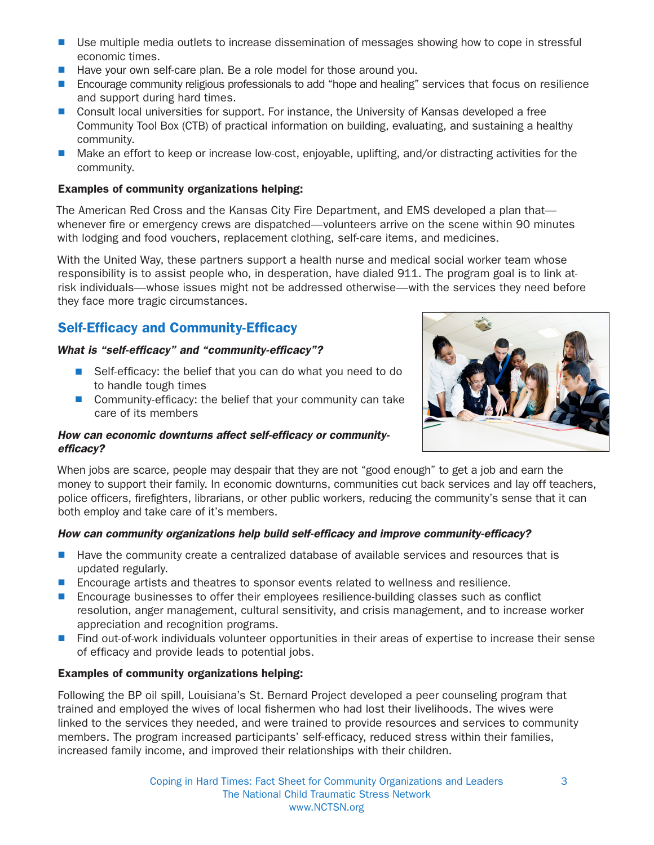- Use multiple media outlets to increase dissemination of messages showing how to cope in stressful economic times.
- Have your own self-care plan. Be a role model for those around you.
- **n** Encourage community religious professionals to add "hope and healing" services that focus on resilience and support during hard times.
- **n** Consult local universities for support. For instance, the University of Kansas developed a free Community Tool Box (CTB) of practical information on building, evaluating, and sustaining a healthy community.
- Make an effort to keep or increase low-cost, enjoyable, uplifting, and/or distracting activities for the community.

#### Examples of community organizations helping:

The American Red Cross and the Kansas City Fire Department, and EMS developed a plan that whenever fire or emergency crews are dispatched—volunteers arrive on the scene within 90 minutes with lodging and food vouchers, replacement clothing, self-care items, and medicines.

With the United Way, these partners support a health nurse and medical social worker team whose responsibility is to assist people who, in desperation, have dialed 911. The program goal is to link atrisk individuals—whose issues might not be addressed otherwise—with the services they need before they face more tragic circumstances.

# Self-Efficacy and Community-Efficacy

#### *What is "self-efficacy" and "community-efficacy"?*

- Self-efficacy: the belief that you can do what you need to do to handle tough times
- $\blacksquare$  Community-efficacy: the belief that your community can take care of its members

#### *How can economic downturns affect self-efficacy or communityefficacy?*



When jobs are scarce, people may despair that they are not "good enough" to get a job and earn the money to support their family. In economic downturns, communities cut back services and lay off teachers, police officers, firefighters, librarians, or other public workers, reducing the community's sense that it can both employ and take care of it's members.

#### *How can community organizations help build self-efficacy and improve community-efficacy?*

- Have the community create a centralized database of available services and resources that is updated regularly.
- **n** Encourage artists and theatres to sponsor events related to wellness and resilience.
- n Encourage businesses to offer their employees resilience-building classes such as conflict resolution, anger management, cultural sensitivity, and crisis management, and to increase worker appreciation and recognition programs.
- **n** Find out-of-work individuals volunteer opportunities in their areas of expertise to increase their sense of efficacy and provide leads to potential jobs.

#### Examples of community organizations helping:

Following the BP oil spill, Louisiana's St. Bernard Project developed a peer counseling program that trained and employed the wives of local fishermen who had lost their livelihoods. The wives were linked to the services they needed, and were trained to provide resources and services to community members. The program increased participants' self-efficacy, reduced stress within their families, increased family income, and improved their relationships with their children.